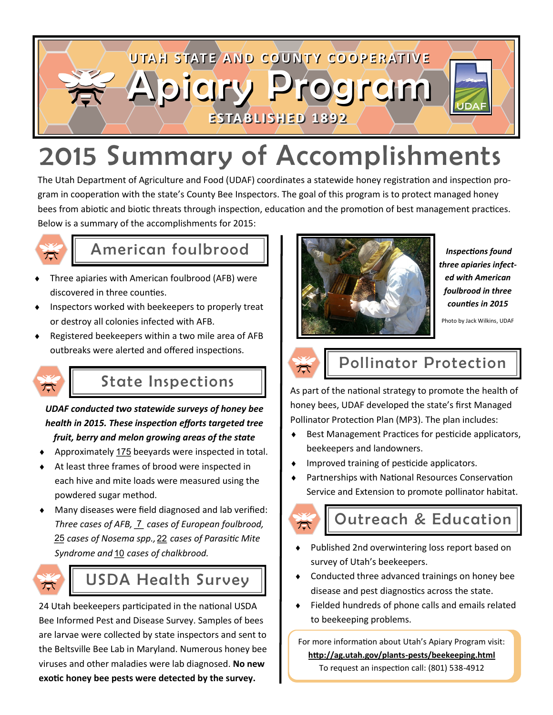

# 2015 Summary of Accomplishments

The Utah Department of Agriculture and Food (UDAF) coordinates a statewide honey registration and inspection program in cooperation with the state's County Bee Inspectors. The goal of this program is to protect managed honey bees from abiotic and biotic threats through inspection, education and the promotion of best management practices. Below is a summary of the accomplishments for 2015:



# American foulbrood

- Three apiaries with American foulbrood (AFB) were discovered in three counties.
- Inspectors worked with beekeepers to properly treat or destroy all colonies infected with AFB.
- Registered beekeepers within a two mile area of AFB outbreaks were alerted and offered inspections.



## State Inspections

*UDAF conducted two statewide surveys of honey bee health in 2015. These inspection efforts targeted tree fruit, berry and melon growing areas of the state*

- ◆ Approximately 175 beeyards were inspected in total.
- At least three frames of brood were inspected in each hive and mite loads were measured using the powdered sugar method.
- Many diseases were field diagnosed and lab verified: Three cases of AFB, **7** cases of European foulbrood, *\_\_ cases of Nosema spp., \_\_ cases of Parasitic Mite*  25 22 Syndrome and <u>10</u> cases of chalkbrood.



#### USDA Health Survey

24 Utah beekeepers participated in the national USDA Bee Informed Pest and Disease Survey. Samples of bees are larvae were collected by state inspectors and sent to the Beltsville Bee Lab in Maryland. Numerous honey bee viruses and other maladies were lab diagnosed. **No new exotic honey bee pests were detected by the survey.**



 *Inspections found three apiaries infected with American foulbrood in three counties in 2015*

Photo by Jack Wilkins, UDAF



# Pollinator Protection

As part of the national strategy to promote the health of honey bees, UDAF developed the state's first Managed Pollinator Protection Plan (MP3). The plan includes:

- Best Management Practices for pesticide applicators, beekeepers and landowners.
- ◆ Improved training of pesticide applicators.
- Partnerships with National Resources Conservation Service and Extension to promote pollinator habitat.



### Outreach & Education

- Published 2nd overwintering loss report based on survey of Utah's beekeepers.
- Conducted three advanced trainings on honey bee disease and pest diagnostics across the state.
- Fielded hundreds of phone calls and emails related to beekeeping problems.

For more information about Utah's Apiary Program visit: **http://ag.utah.gov/plants-pests/beekeeping.html** To request an inspection call: (801) 538-4912